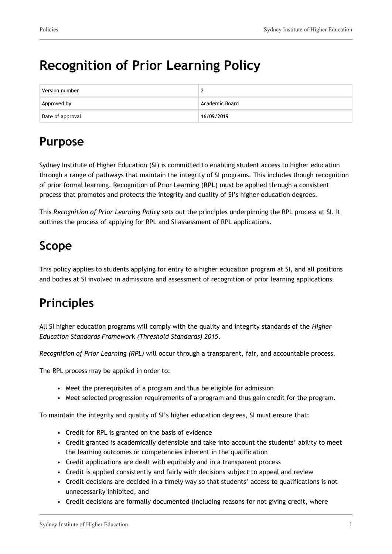# **Recognition of Prior Learning Policy**

| Version number   |                |
|------------------|----------------|
| Approved by      | Academic Board |
| Date of approval | 16/09/2019     |

# **Purpose**

Sydney Institute of Higher Education (**SI**) is committed to enabling student access to higher education through a range of pathways that maintain the integrity of SI programs. This includes though recognition of prior formal learning. Recognition of Prior Learning (**RPL**) must be applied through a consistent process that promotes and protects the integrity and quality of SI's higher education degrees.

This *Recognition of Prior Learning Policy* sets out the principles underpinning the RPL process at SI. It outlines the process of applying for RPL and SI assessment of RPL applications.

### **Scope**

This policy applies to students applying for entry to a higher education program at SI, and all positions and bodies at SI involved in admissions and assessment of recognition of prior learning applications.

# **Principles**

All SI higher education programs will comply with the quality and integrity standards of the *Higher Education Standards Framewor*k *(Threshold Standards) 2015*.

*Recognition of Prior Learning (RPL)* will occur through a transparent, fair, and accountable process.

The RPL process may be applied in order to:

- Meet the prerequisites of a program and thus be eligible for admission
- Meet selected progression requirements of a program and thus gain credit for the program.

To maintain the integrity and quality of SI's higher education degrees, SI must ensure that:

- Credit for RPL is granted on the basis of evidence
- Credit granted is academically defensible and take into account the students' ability to meet the learning outcomes or competencies inherent in the qualification
- Credit applications are dealt with equitably and in a transparent process
- Credit is applied consistently and fairly with decisions subject to appeal and review
- Credit decisions are decided in a timely way so that students' access to qualifications is not unnecessarily inhibited, and
- Credit decisions are formally documented (including reasons for not giving credit, where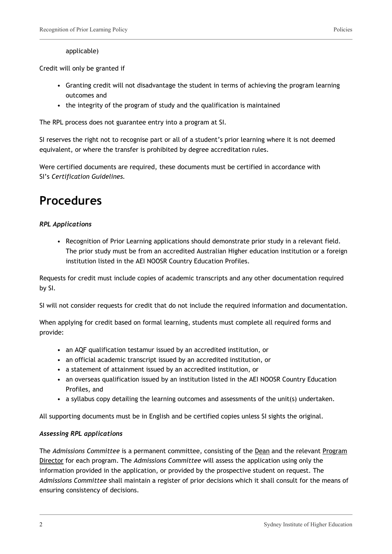#### applicable)

Credit will only be granted if

- Granting credit will not disadvantage the student in terms of achieving the program learning outcomes and
- the integrity of the program of study and the qualification is maintained

The RPL process does not guarantee entry into a program at SI.

SI reserves the right not to recognise part or all of a student's prior learning where it is not deemed equivalent, or where the transfer is prohibited by degree accreditation rules.

Were certified documents are required, these documents must be certified in accordance with SI's *Certification Guidelines.*

### **Procedures**

#### *RPL Applications*

• Recognition of Prior Learning applications should demonstrate prior study in a relevant field. The prior study must be from an accredited Australian Higher education institution or a foreign institution listed in the AEI NOOSR Country Education Profiles.

Requests for credit must include copies of academic transcripts and any other documentation required by SI.

SI will not consider requests for credit that do not include the required information and documentation.

When applying for credit based on formal learning, students must complete all required forms and provide:

- an AQF qualification testamur issued by an accredited institution, or
- an official academic transcript issued by an accredited institution, or
- a statement of attainment issued by an accredited institution, or
- an overseas qualification issued by an institution listed in the AEI NOOSR Country Education Profiles, and
- a syllabus copy detailing the learning outcomes and assessments of the unit(s) undertaken.

All supporting documents must be in English and be certified copies unless SI sights the original.

#### *Assessing RPL applications*

The *Admissions Committee* is a permanent committee, consisting of the Dean and the relevant Program Director for each program. The *Admissions Committee* will assess the application using only the information provided in the application, or provided by the prospective student on request. The *Admissions Committee* shall maintain a register of prior decisions which it shall consult for the means of ensuring consistency of decisions.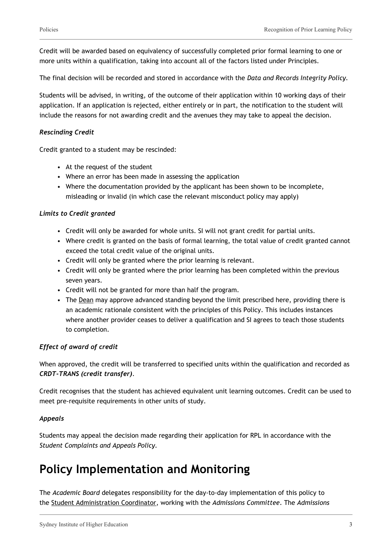Credit will be awarded based on equivalency of successfully completed prior formal learning to one or more units within a qualification, taking into account all of the factors listed under Principles.

The final decision will be recorded and stored in accordance with the *Data and Records Integrity Policy.*

Students will be advised, in writing, of the outcome of their application within 10 working days of their application. If an application is rejected, either entirely or in part, the notification to the student will include the reasons for not awarding credit and the avenues they may take to appeal the decision.

#### *Rescinding Credit*

Credit granted to a student may be rescinded:

- At the request of the student
- Where an error has been made in assessing the application
- Where the documentation provided by the applicant has been shown to be incomplete, misleading or invalid (in which case the relevant misconduct policy may apply)

#### *Limits to Credit granted*

- Credit will only be awarded for whole units. SI will not grant credit for partial units.
- Where credit is granted on the basis of formal learning, the total value of credit granted cannot exceed the total credit value of the original units.
- Credit will only be granted where the prior learning is relevant.
- Credit will only be granted where the prior learning has been completed within the previous seven years.
- Credit will not be granted for more than half the program.
- The Dean may approve advanced standing beyond the limit prescribed here, providing there is an academic rationale consistent with the principles of this Policy. This includes instances where another provider ceases to deliver a qualification and SI agrees to teach those students to completion.

#### *Effect of award of credit*

When approved, the credit will be transferred to specified units within the qualification and recorded as *CRDT-TRANS (credit transfer)*.

Credit recognises that the student has achieved equivalent unit learning outcomes. Credit can be used to meet pre-requisite requirements in other units of study.

#### *Appeals*

Students may appeal the decision made regarding their application for RPL in accordance with the *Student Complaints and Appeals Policy.*

### **Policy Implementation and Monitoring**

The *Academic Board* delegates responsibility for the day-to-day implementation of this policy to the Student Administration Coordinator, working with the *Admissions Committee*. The *Admissions*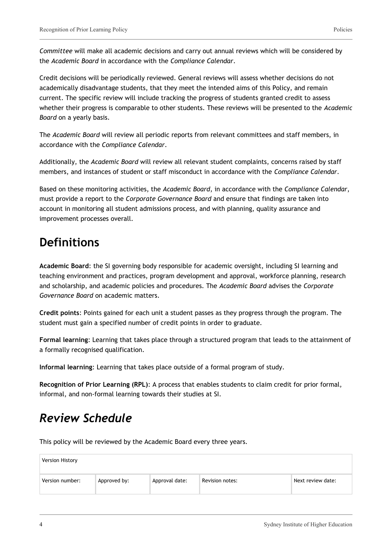*Committee* will make all academic decisions and carry out annual reviews which will be considered by the *Academic Board* in accordance with the *Compliance Calendar*.

Credit decisions will be periodically reviewed. General reviews will assess whether decisions do not academically disadvantage students, that they meet the intended aims of this Policy, and remain current. The specific review will include tracking the progress of students granted credit to assess whether their progress is comparable to other students. These reviews will be presented to the *Academic Board* on a yearly basis.

The *Academic Board* will review all periodic reports from relevant committees and staff members, in accordance with the *Compliance Calendar*.

Additionally, the *Academic Board* will review all relevant student complaints, concerns raised by staff members, and instances of student or staff misconduct in accordance with the *Compliance Calendar*.

Based on these monitoring activities, the *Academic Board*, in accordance with the *Compliance Calendar*, must provide a report to the *Corporate Governance Board* and ensure that findings are taken into account in monitoring all student admissions process, and with planning, quality assurance and improvement processes overall.

## **Definitions**

**Academic Board**: the SI governing body responsible for academic oversight, including SI learning and teaching environment and practices, program development and approval, workforce planning, research and scholarship, and academic policies and procedures. The *Academic Board* advises the *Corporate Governance Board* on academic matters.

**Credit points**: Points gained for each unit a student passes as they progress through the program. The student must gain a specified number of credit points in order to graduate.

**Formal learning**: Learning that takes place through a structured program that leads to the attainment of a formally recognised qualification.

**Informal learning**: Learning that takes place outside of a formal program of study.

**Recognition of Prior Learning (RPL)**: A process that enables students to claim credit for prior formal, informal, and non-formal learning towards their studies at SI.

## *Review Schedule*

This policy will be reviewed by the Academic Board every three years.

| Version History |              |                |                 |                   |
|-----------------|--------------|----------------|-----------------|-------------------|
| Version number: | Approved by: | Approval date: | Revision notes: | Next review date: |